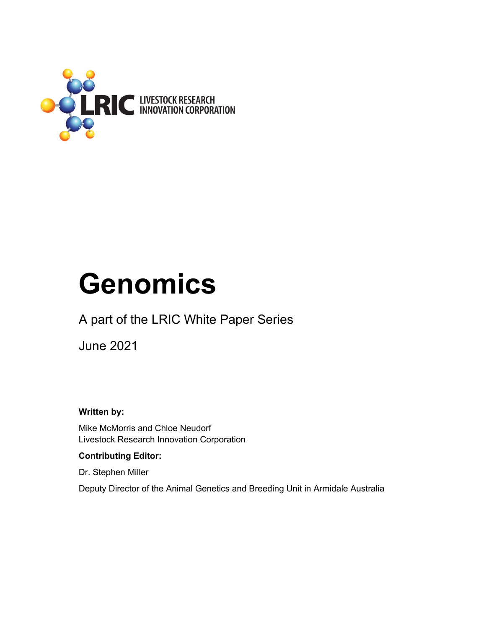

# **Genomics**

# A part of the LRIC White Paper Series

June 2021

**Written by:** 

Mike McMorris and Chloe Neudorf Livestock Research Innovation Corporation

#### **Contributing Editor:**

Dr. Stephen Miller

Deputy Director of the Animal Genetics and Breeding Unit in Armidale Australia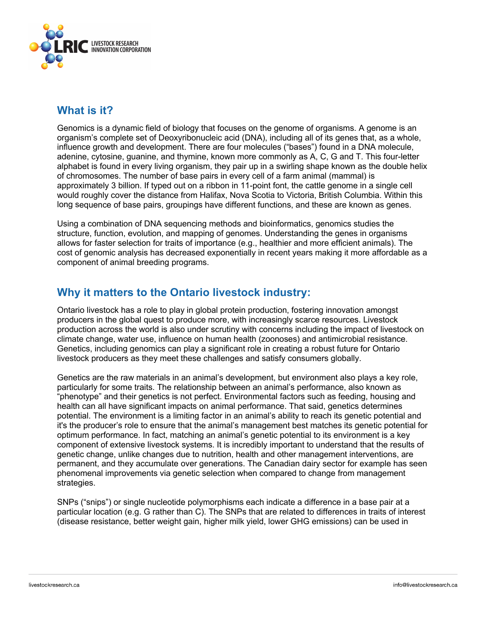

#### **What is it?**

Genomics is a dynamic field of biology that focuses on the genome of organisms. A genome is an organism's complete set of Deoxyribonucleic acid (DNA), including all of its genes that, as a whole, influence growth and development. There are four molecules ("bases") found in a DNA molecule, adenine, cytosine, guanine, and thymine, known more commonly as A, C, G and T. This four-letter alphabet is found in every living organism, they pair up in a swirling shape known as the double helix of chromosomes. The number of base pairs in every cell of a farm animal (mammal) is approximately 3 billion. If typed out on a ribbon in 11-point font, the cattle genome in a single cell would roughly cover the distance from Halifax, Nova Scotia to Victoria, British Columbia. Within this long sequence of base pairs, groupings have different functions, and these are known as genes.

Using a combination of DNA sequencing methods and bioinformatics, genomics studies the structure, function, evolution, and mapping of genomes. Understanding the genes in organisms allows for faster selection for traits of importance (e.g., healthier and more efficient animals). The cost of genomic analysis has decreased exponentially in recent years making it more affordable as a component of animal breeding programs.

#### **Why it matters to the Ontario livestock industry:**

Ontario livestock has a role to play in global protein production, fostering innovation amongst producers in the global quest to produce more, with increasingly scarce resources. Livestock production across the world is also under scrutiny with concerns including the impact of livestock on climate change, water use, influence on human health (zoonoses) and antimicrobial resistance. Genetics, including genomics can play a significant role in creating a robust future for Ontario livestock producers as they meet these challenges and satisfy consumers globally.

Genetics are the raw materials in an animal's development, but environment also plays a key role, particularly for some traits. The relationship between an animal's performance, also known as "phenotype" and their genetics is not perfect. Environmental factors such as feeding, housing and health can all have significant impacts on animal performance. That said, genetics determines potential. The environment is a limiting factor in an animal's ability to reach its genetic potential and it's the producer's role to ensure that the animal's management best matches its genetic potential for optimum performance. In fact, matching an animal's genetic potential to its environment is a key component of extensive livestock systems. It is incredibly important to understand that the results of genetic change, unlike changes due to nutrition, health and other management interventions, are permanent, and they accumulate over generations. The Canadian dairy sector for example has seen phenomenal improvements via genetic selection when compared to change from management strategies.

SNPs ("snips") or single nucleotide polymorphisms each indicate a difference in a base pair at a particular location (e.g. G rather than C). The SNPs that are related to differences in traits of interest (disease resistance, better weight gain, higher milk yield, lower GHG emissions) can be used in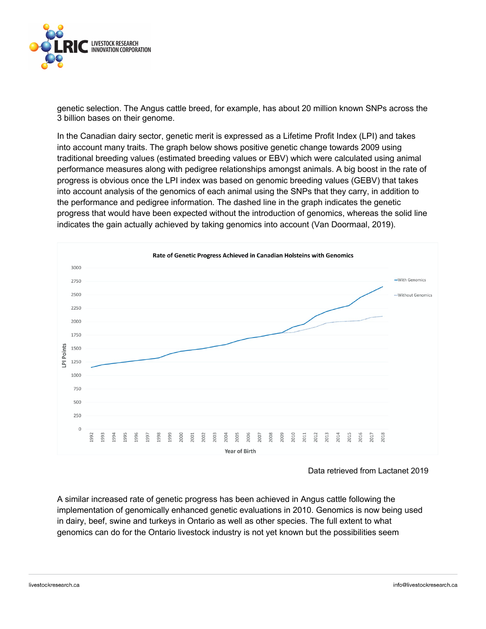

genetic selection. The Angus cattle breed, for example, has about 20 million known SNPs across the 3 billion bases on their genome.

In the Canadian dairy sector, genetic merit is expressed as a Lifetime Profit Index (LPI) and takes into account many traits. The graph below shows positive genetic change towards 2009 using traditional breeding values (estimated breeding values or EBV) which were calculated using animal performance measures along with pedigree relationships amongst animals. A big boost in the rate of progress is obvious once the LPI index was based on genomic breeding values (GEBV) that takes into account analysis of the genomics of each animal using the SNPs that they carry, in addition to the performance and pedigree information. The dashed line in the graph indicates the genetic progress that would have been expected without the introduction of genomics, whereas the solid line indicates the gain actually achieved by taking genomics into account (Van Doormaal, 2019).



Data retrieved from Lactanet 2019

A similar increased rate of genetic progress has been achieved in Angus cattle following the implementation of genomically enhanced genetic evaluations in 2010. Genomics is now being used in dairy, beef, swine and turkeys in Ontario as well as other species. The full extent to what genomics can do for the Ontario livestock industry is not yet known but the possibilities seem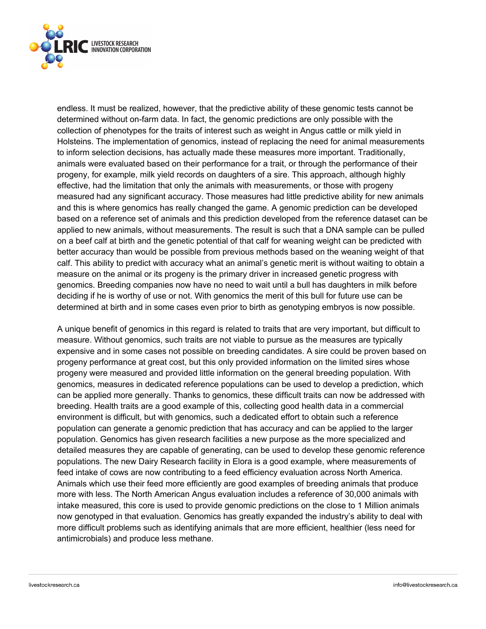

endless. It must be realized, however, that the predictive ability of these genomic tests cannot be determined without on-farm data. In fact, the genomic predictions are only possible with the collection of phenotypes for the traits of interest such as weight in Angus cattle or milk yield in Holsteins. The implementation of genomics, instead of replacing the need for animal measurements to inform selection decisions, has actually made these measures more important. Traditionally, animals were evaluated based on their performance for a trait, or through the performance of their progeny, for example, milk yield records on daughters of a sire. This approach, although highly effective, had the limitation that only the animals with measurements, or those with progeny measured had any significant accuracy. Those measures had little predictive ability for new animals and this is where genomics has really changed the game. A genomic prediction can be developed based on a reference set of animals and this prediction developed from the reference dataset can be applied to new animals, without measurements. The result is such that a DNA sample can be pulled on a beef calf at birth and the genetic potential of that calf for weaning weight can be predicted with better accuracy than would be possible from previous methods based on the weaning weight of that calf. This ability to predict with accuracy what an animal's genetic merit is without waiting to obtain a measure on the animal or its progeny is the primary driver in increased genetic progress with genomics. Breeding companies now have no need to wait until a bull has daughters in milk before deciding if he is worthy of use or not. With genomics the merit of this bull for future use can be determined at birth and in some cases even prior to birth as genotyping embryos is now possible.

A unique benefit of genomics in this regard is related to traits that are very important, but difficult to measure. Without genomics, such traits are not viable to pursue as the measures are typically expensive and in some cases not possible on breeding candidates. A sire could be proven based on progeny performance at great cost, but this only provided information on the limited sires whose progeny were measured and provided little information on the general breeding population. With genomics, measures in dedicated reference populations can be used to develop a prediction, which can be applied more generally. Thanks to genomics, these difficult traits can now be addressed with breeding. Health traits are a good example of this, collecting good health data in a commercial environment is difficult, but with genomics, such a dedicated effort to obtain such a reference population can generate a genomic prediction that has accuracy and can be applied to the larger population. Genomics has given research facilities a new purpose as the more specialized and detailed measures they are capable of generating, can be used to develop these genomic reference populations. The new Dairy Research facility in Elora is a good example, where measurements of feed intake of cows are now contributing to a feed efficiency evaluation across North America. Animals which use their feed more efficiently are good examples of breeding animals that produce more with less. The North American Angus evaluation includes a reference of 30,000 animals with intake measured, this core is used to provide genomic predictions on the close to 1 Million animals now genotyped in that evaluation. Genomics has greatly expanded the industry's ability to deal with more difficult problems such as identifying animals that are more efficient, healthier (less need for antimicrobials) and produce less methane.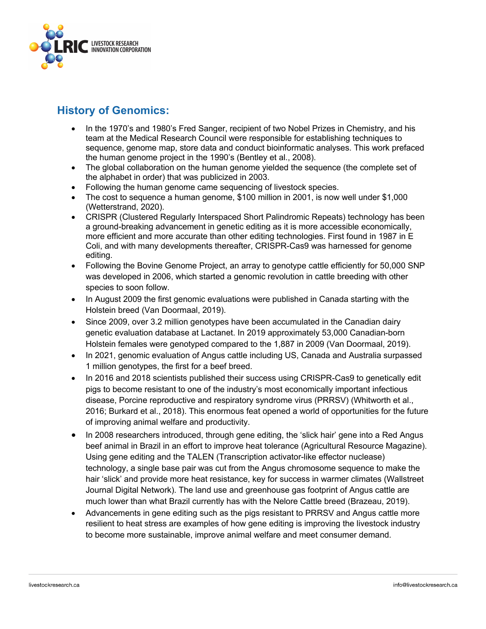

## **History of Genomics:**

- In the 1970's and 1980's Fred Sanger, recipient of two Nobel Prizes in Chemistry, and his team at the Medical Research Council were responsible for establishing techniques to sequence, genome map, store data and conduct bioinformatic analyses. This work prefaced the human genome project in the 1990's (Bentley et al., 2008).
- The global collaboration on the human genome vielded the sequence (the complete set of the alphabet in order) that was publicized in 2003.
- Following the human genome came sequencing of livestock species.
- The cost to sequence a human genome, \$100 million in 2001, is now well under \$1,000 (Wetterstrand, 2020).
- CRISPR (Clustered Regularly Interspaced Short Palindromic Repeats) technology has been a ground-breaking advancement in genetic editing as it is more accessible economically, more efficient and more accurate than other editing technologies. First found in 1987 in E Coli, and with many developments thereafter, CRISPR-Cas9 was harnessed for genome editing.
- Following the Bovine Genome Project, an array to genotype cattle efficiently for 50,000 SNP was developed in 2006, which started a genomic revolution in cattle breeding with other species to soon follow.
- In August 2009 the first genomic evaluations were published in Canada starting with the Holstein breed (Van Doormaal, 2019).
- Since 2009, over 3.2 million genotypes have been accumulated in the Canadian dairy genetic evaluation database at Lactanet. In 2019 approximately 53,000 Canadian-born Holstein females were genotyped compared to the 1,887 in 2009 (Van Doormaal, 2019).
- In 2021, genomic evaluation of Angus cattle including US, Canada and Australia surpassed 1 million genotypes, the first for a beef breed.
- In 2016 and 2018 scientists published their success using CRISPR-Cas9 to genetically edit pigs to become resistant to one of the industry's most economically important infectious disease, Porcine reproductive and respiratory syndrome virus (PRRSV) (Whitworth et al., 2016; Burkard et al., 2018). This enormous feat opened a world of opportunities for the future of improving animal welfare and productivity.
- In 2008 researchers introduced, through gene editing, the 'slick hair' gene into a Red Angus beef animal in Brazil in an effort to improve heat tolerance (Agricultural Resource Magazine). Using gene editing and the TALEN (Transcription activator-like effector nuclease) technology, a single base pair was cut from the Angus chromosome sequence to make the hair 'slick' and provide more heat resistance, key for success in warmer climates (Wallstreet Journal Digital Network). The land use and greenhouse gas footprint of Angus cattle are much lower than what Brazil currently has with the Nelore Cattle breed (Brazeau, 2019).
- Advancements in gene editing such as the pigs resistant to PRRSV and Angus cattle more resilient to heat stress are examples of how gene editing is improving the livestock industry to become more sustainable, improve animal welfare and meet consumer demand.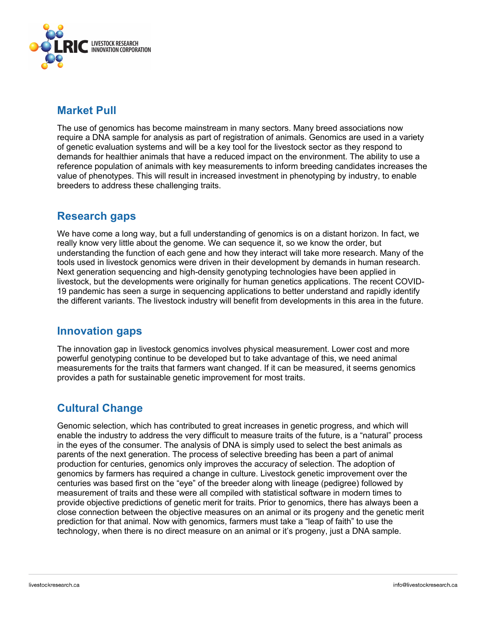

#### **Market Pull**

The use of genomics has become mainstream in many sectors. Many breed associations now require a DNA sample for analysis as part of registration of animals. Genomics are used in a variety of genetic evaluation systems and will be a key tool for the livestock sector as they respond to demands for healthier animals that have a reduced impact on the environment. The ability to use a reference population of animals with key measurements to inform breeding candidates increases the value of phenotypes. This will result in increased investment in phenotyping by industry, to enable breeders to address these challenging traits.

#### **Research gaps**

We have come a long way, but a full understanding of genomics is on a distant horizon. In fact, we really know very little about the genome. We can sequence it, so we know the order, but understanding the function of each gene and how they interact will take more research. Many of the tools used in livestock genomics were driven in their development by demands in human research. Next generation sequencing and high-density genotyping technologies have been applied in livestock, but the developments were originally for human genetics applications. The recent COVID-19 pandemic has seen a surge in sequencing applications to better understand and rapidly identify the different variants. The livestock industry will benefit from developments in this area in the future.

#### **Innovation gaps**

The innovation gap in livestock genomics involves physical measurement. Lower cost and more powerful genotyping continue to be developed but to take advantage of this, we need animal measurements for the traits that farmers want changed. If it can be measured, it seems genomics provides a path for sustainable genetic improvement for most traits.

### **Cultural Change**

Genomic selection, which has contributed to great increases in genetic progress, and which will enable the industry to address the very difficult to measure traits of the future, is a "natural" process in the eyes of the consumer. The analysis of DNA is simply used to select the best animals as parents of the next generation. The process of selective breeding has been a part of animal production for centuries, genomics only improves the accuracy of selection. The adoption of genomics by farmers has required a change in culture. Livestock genetic improvement over the centuries was based first on the "eye" of the breeder along with lineage (pedigree) followed by measurement of traits and these were all compiled with statistical software in modern times to provide objective predictions of genetic merit for traits. Prior to genomics, there has always been a close connection between the objective measures on an animal or its progeny and the genetic merit prediction for that animal. Now with genomics, farmers must take a "leap of faith" to use the technology, when there is no direct measure on an animal or it's progeny, just a DNA sample.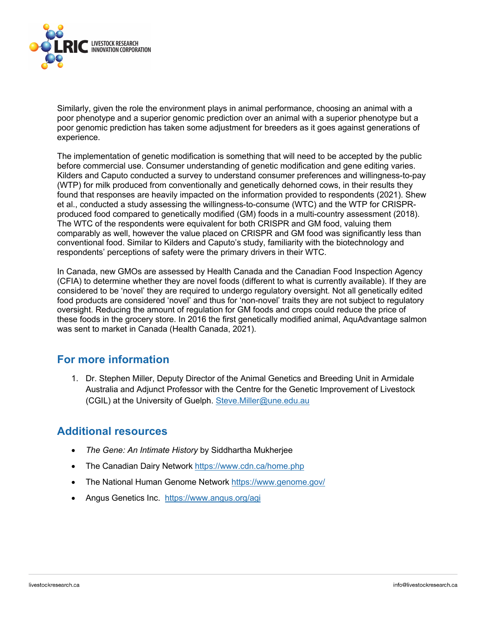

Similarly, given the role the environment plays in animal performance, choosing an animal with a poor phenotype and a superior genomic prediction over an animal with a superior phenotype but a poor genomic prediction has taken some adjustment for breeders as it goes against generations of experience.

The implementation of genetic modification is something that will need to be accepted by the public before commercial use. Consumer understanding of genetic modification and gene editing varies. Kilders and Caputo conducted a survey to understand consumer preferences and willingness-to-pay (WTP) for milk produced from conventionally and genetically dehorned cows, in their results they found that responses are heavily impacted on the information provided to respondents (2021). Shew et al., conducted a study assessing the willingness-to-consume (WTC) and the WTP for CRISPRproduced food compared to genetically modified (GM) foods in a multi-country assessment (2018). The WTC of the respondents were equivalent for both CRISPR and GM food, valuing them comparably as well, however the value placed on CRISPR and GM food was significantly less than conventional food. Similar to Kilders and Caputo's study, familiarity with the biotechnology and respondents' perceptions of safety were the primary drivers in their WTC.

In Canada, new GMOs are assessed by Health Canada and the Canadian Food Inspection Agency (CFIA) to determine whether they are novel foods (different to what is currently available). If they are considered to be 'novel' they are required to undergo regulatory oversight. Not all genetically edited food products are considered 'novel' and thus for 'non-novel' traits they are not subject to regulatory oversight. Reducing the amount of regulation for GM foods and crops could reduce the price of these foods in the grocery store. In 2016 the first genetically modified animal, AquAdvantage salmon was sent to market in Canada (Health Canada, 2021).

#### **For more information**

1. Dr. Stephen Miller, Deputy Director of the Animal Genetics and Breeding Unit in Armidale Australia and Adjunct Professor with the Centre for the Genetic Improvement of Livestock (CGIL) at the University of Guelph. Steve.Miller@une.edu.au

#### **Additional resources**

- *The Gene: An Intimate History* by Siddhartha Mukherjee
- The Canadian Dairy Network https://www.cdn.ca/home.php
- The National Human Genome Network https://www.genome.gov/
- Angus Genetics Inc. https://www.angus.org/agi